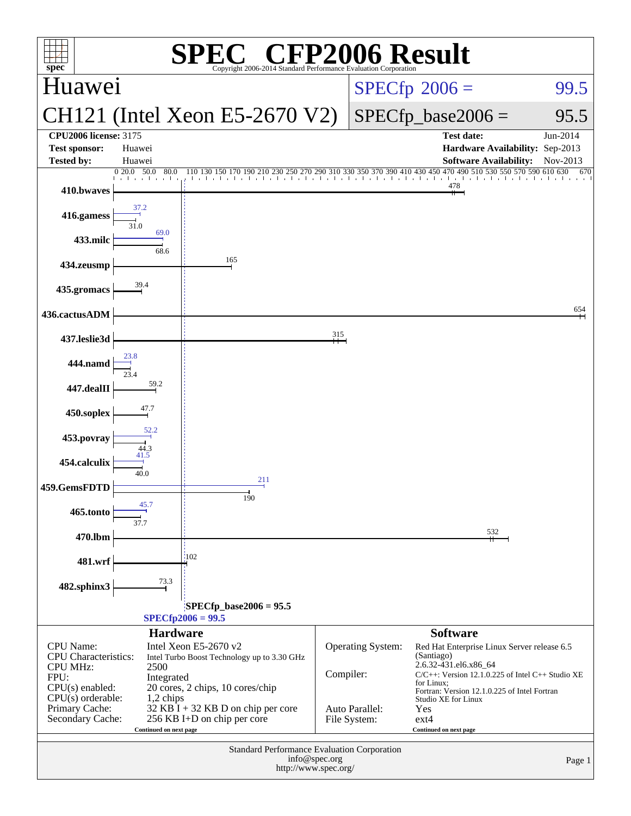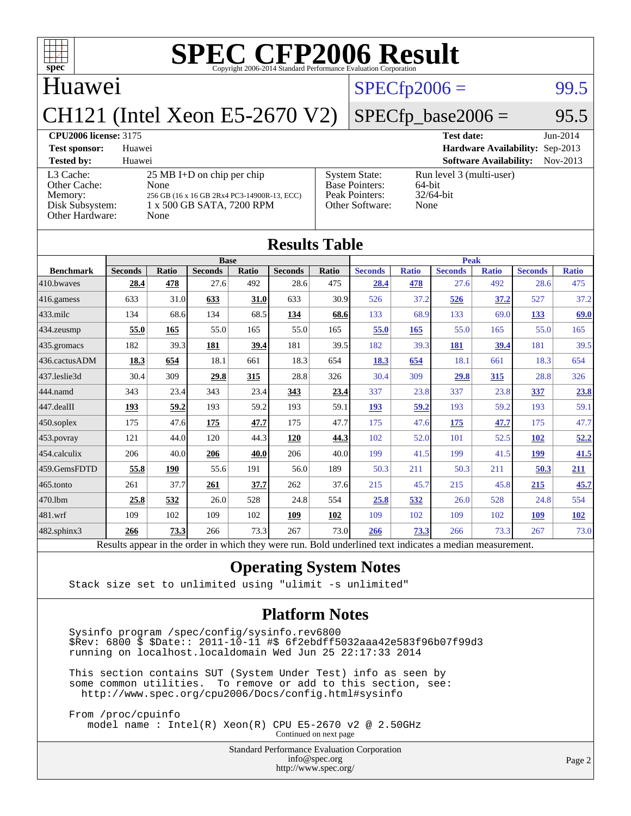

# $SPECTp2006 =$  99.5

#### Huawei

CH121 (Intel Xeon E5-2670 V2)

## $SPECfp\_base2006 = 95.5$

#### **[CPU2006 license:](http://www.spec.org/auto/cpu2006/Docs/result-fields.html#CPU2006license)** 3175 **[Test date:](http://www.spec.org/auto/cpu2006/Docs/result-fields.html#Testdate)** Jun-2014

**[Test sponsor:](http://www.spec.org/auto/cpu2006/Docs/result-fields.html#Testsponsor)** Huawei **[Hardware Availability:](http://www.spec.org/auto/cpu2006/Docs/result-fields.html#HardwareAvailability)** Sep-2013 **[Tested by:](http://www.spec.org/auto/cpu2006/Docs/result-fields.html#Testedby)** Huawei **[Software Availability:](http://www.spec.org/auto/cpu2006/Docs/result-fields.html#SoftwareAvailability)** Nov-2013 [L3 Cache:](http://www.spec.org/auto/cpu2006/Docs/result-fields.html#L3Cache) 25 MB I+D on chip per chip<br>Other Cache: None [Other Cache:](http://www.spec.org/auto/cpu2006/Docs/result-fields.html#OtherCache) [Memory:](http://www.spec.org/auto/cpu2006/Docs/result-fields.html#Memory) 256 GB (16 x 16 GB 2Rx4 PC3-14900R-13, ECC) [Disk Subsystem:](http://www.spec.org/auto/cpu2006/Docs/result-fields.html#DiskSubsystem) 1 x 500 GB SATA, 7200 RPM [Other Hardware:](http://www.spec.org/auto/cpu2006/Docs/result-fields.html#OtherHardware) None [System State:](http://www.spec.org/auto/cpu2006/Docs/result-fields.html#SystemState) Run level 3 (multi-user)<br>Base Pointers: 64-bit [Base Pointers:](http://www.spec.org/auto/cpu2006/Docs/result-fields.html#BasePointers) 64-bit<br>Peak Pointers: 32/64-bit [Peak Pointers:](http://www.spec.org/auto/cpu2006/Docs/result-fields.html#PeakPointers) [Other Software:](http://www.spec.org/auto/cpu2006/Docs/result-fields.html#OtherSoftware) None

| <b>Results Table</b> |                                                                                                          |              |                |       |                |       |                |              |                |              |                |              |
|----------------------|----------------------------------------------------------------------------------------------------------|--------------|----------------|-------|----------------|-------|----------------|--------------|----------------|--------------|----------------|--------------|
|                      | <b>Base</b>                                                                                              |              |                |       |                |       | <b>Peak</b>    |              |                |              |                |              |
| <b>Benchmark</b>     | <b>Seconds</b>                                                                                           | <b>Ratio</b> | <b>Seconds</b> | Ratio | <b>Seconds</b> | Ratio | <b>Seconds</b> | <b>Ratio</b> | <b>Seconds</b> | <b>Ratio</b> | <b>Seconds</b> | <b>Ratio</b> |
| 410.bwayes           | 28.4                                                                                                     | 478          | 27.6           | 492   | 28.6           | 475   | 28.4           | 478          | 27.6           | 492          | 28.6           | 475          |
| 416.gamess           | 633                                                                                                      | 31.0         | 633            | 31.0  | 633            | 30.9  | 526            | 37.2         | 526            | 37.2         | 527            | 37.2         |
| $433$ .milc          | 134                                                                                                      | 68.6         | 134            | 68.5  | 134            | 68.6  | 133            | 68.9         | 133            | 69.0         | 133            | 69.0         |
| 434.zeusmp           | 55.0                                                                                                     | 165          | 55.0           | 165   | 55.0           | 165   | 55.0           | 165          | 55.0           | 165          | 55.0           | 165          |
| $435$ .gromacs       | 182                                                                                                      | 39.3         | 181            | 39.4  | 181            | 39.5  | 182            | 39.3         | 181            | 39.4         | 181            | 39.5         |
| 436.cactusADM        | 18.3                                                                                                     | 654          | 18.1           | 661   | 18.3           | 654   | 18.3           | 654          | 18.1           | 661          | 18.3           | 654          |
| 437.leslie3d         | 30.4                                                                                                     | 309          | 29.8           | 315   | 28.8           | 326   | 30.4           | 309          | 29.8           | 315          | 28.8           | 326          |
| 444.namd             | 343                                                                                                      | 23.4         | 343            | 23.4  | 343            | 23.4  | 337            | 23.8         | 337            | 23.8         | 337            | 23.8         |
| 447.dealII           | 193                                                                                                      | 59.2         | 193            | 59.2  | 193            | 59.1  | 193            | 59.2         | 193            | 59.2         | 193            | 59.1         |
| $450$ .soplex        | 175                                                                                                      | 47.6         | 175            | 47.7  | 175            | 47.7  | 175            | 47.6         | 175            | 47.7         | 175            | 47.7         |
| $453$ .povray        | 121                                                                                                      | 44.0         | 120            | 44.3  | 120            | 44.3  | 102            | 52.0         | 101            | 52.5         | 102            | 52.2         |
| $ 454$ .calculix     | 206                                                                                                      | 40.0         | 206            | 40.0  | 206            | 40.0  | 199            | 41.5         | 199            | 41.5         | 199            | 41.5         |
| 459.GemsFDTD         | 55.8                                                                                                     | 190          | 55.6           | 191   | 56.0           | 189   | 50.3           | 211          | 50.3           | 211          | 50.3           | 211          |
| 465.tonto            | 261                                                                                                      | 37.7         | 261            | 37.7  | 262            | 37.6  | 215            | 45.7         | 215            | 45.8         | 215            | 45.7         |
| 470.1bm              | 25.8                                                                                                     | 532          | 26.0           | 528   | 24.8           | 554   | 25.8           | 532          | 26.0           | 528          | 24.8           | 554          |
| $ 481$ .wrf          | 109                                                                                                      | 102          | 109            | 102   | 109            | 102   | 109            | 102          | 109            | 102          | 109            | 102          |
| $482$ .sphinx $3$    | 266                                                                                                      | 73.3         | 266            | 73.3  | 267            | 73.0  | 266            | 73.3         | 266            | 73.3         | 267            | 73.0         |
|                      | Results appear in the order in which they were run. Bold underlined text indicates a median measurement. |              |                |       |                |       |                |              |                |              |                |              |

#### **[Operating System Notes](http://www.spec.org/auto/cpu2006/Docs/result-fields.html#OperatingSystemNotes)**

Stack size set to unlimited using "ulimit -s unlimited"

#### **[Platform Notes](http://www.spec.org/auto/cpu2006/Docs/result-fields.html#PlatformNotes)**

 Sysinfo program /spec/config/sysinfo.rev6800 \$Rev: 6800 \$ \$Date:: 2011-10-11 #\$ 6f2ebdff5032aaa42e583f96b07f99d3 running on localhost.localdomain Wed Jun 25 22:17:33 2014

 This section contains SUT (System Under Test) info as seen by some common utilities. To remove or add to this section, see: <http://www.spec.org/cpu2006/Docs/config.html#sysinfo>

 From /proc/cpuinfo model name : Intel(R) Xeon(R) CPU E5-2670 v2 @ 2.50GHz

Continued on next page

Standard Performance Evaluation Corporation [info@spec.org](mailto:info@spec.org) <http://www.spec.org/>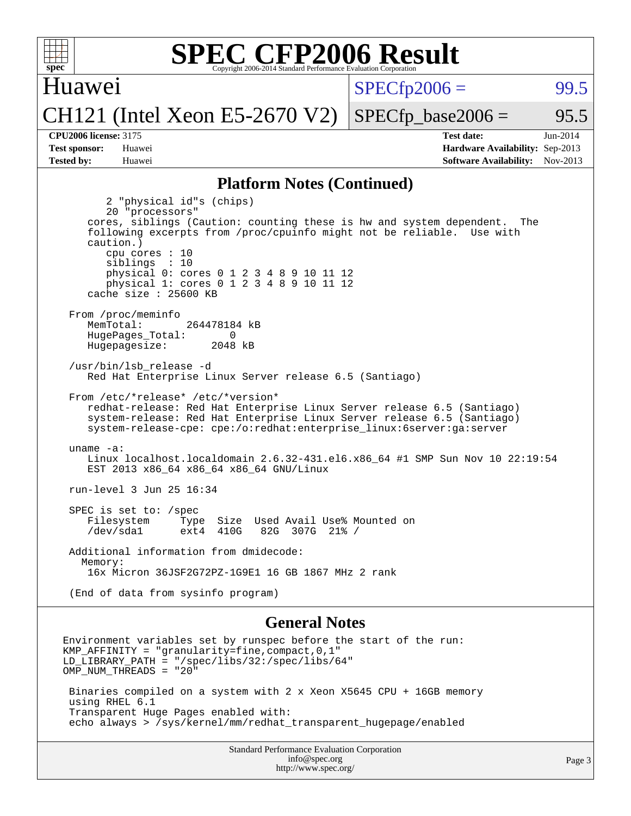

Huawei

 $SPECTp2006 =$  99.5

CH121 (Intel Xeon E5-2670 V2)

 $SPECTp\_base2006 = 95.5$ 

**[Tested by:](http://www.spec.org/auto/cpu2006/Docs/result-fields.html#Testedby)** Huawei **[Software Availability:](http://www.spec.org/auto/cpu2006/Docs/result-fields.html#SoftwareAvailability)** Nov-2013

**[CPU2006 license:](http://www.spec.org/auto/cpu2006/Docs/result-fields.html#CPU2006license)** 3175 **[Test date:](http://www.spec.org/auto/cpu2006/Docs/result-fields.html#Testdate)** Jun-2014 **[Test sponsor:](http://www.spec.org/auto/cpu2006/Docs/result-fields.html#Testsponsor)** Huawei **[Hardware Availability:](http://www.spec.org/auto/cpu2006/Docs/result-fields.html#HardwareAvailability)** Sep-2013

#### **[Platform Notes \(Continued\)](http://www.spec.org/auto/cpu2006/Docs/result-fields.html#PlatformNotes)**

 2 "physical id"s (chips) 20 "processors" cores, siblings (Caution: counting these is hw and system dependent. The following excerpts from /proc/cpuinfo might not be reliable. Use with caution.) cpu cores : 10 siblings : 10 physical 0: cores 0 1 2 3 4 8 9 10 11 12 physical 1: cores 0 1 2 3 4 8 9 10 11 12 cache size : 25600 KB From /proc/meminfo MemTotal: 264478184 kB HugePages\_Total: 0<br>Hugepagesize: 2048 kB Hugepagesize: /usr/bin/lsb\_release -d Red Hat Enterprise Linux Server release 6.5 (Santiago) From /etc/\*release\* /etc/\*version\* redhat-release: Red Hat Enterprise Linux Server release 6.5 (Santiago) system-release: Red Hat Enterprise Linux Server release 6.5 (Santiago) system-release-cpe: cpe:/o:redhat:enterprise\_linux:6server:ga:server uname -a: Linux localhost.localdomain 2.6.32-431.el6.x86\_64 #1 SMP Sun Nov 10 22:19:54 EST 2013 x86\_64 x86\_64 x86\_64 GNU/Linux run-level 3 Jun 25 16:34 SPEC is set to: /spec<br>Filesystem Type Type Size Used Avail Use% Mounted on ext4 410G 82G 307G 21% / /dev/sda1 ext4 410G 82G 307G 21% / Additional information from dmidecode: Memory: 16x Micron 36JSF2G72PZ-1G9E1 16 GB 1867 MHz 2 rank (End of data from sysinfo program)

#### **[General Notes](http://www.spec.org/auto/cpu2006/Docs/result-fields.html#GeneralNotes)**

Environment variables set by runspec before the start of the run: KMP AFFINITY = "granularity=fine, compact,  $0,1$ " LD\_LIBRARY\_PATH = "/spec/libs/32:/spec/libs/64" OMP NUM THREADS = "20" Binaries compiled on a system with 2 x Xeon X5645 CPU + 16GB memory using RHEL 6.1 Transparent Huge Pages enabled with: echo always > /sys/kernel/mm/redhat\_transparent\_hugepage/enabled

> Standard Performance Evaluation Corporation [info@spec.org](mailto:info@spec.org) <http://www.spec.org/>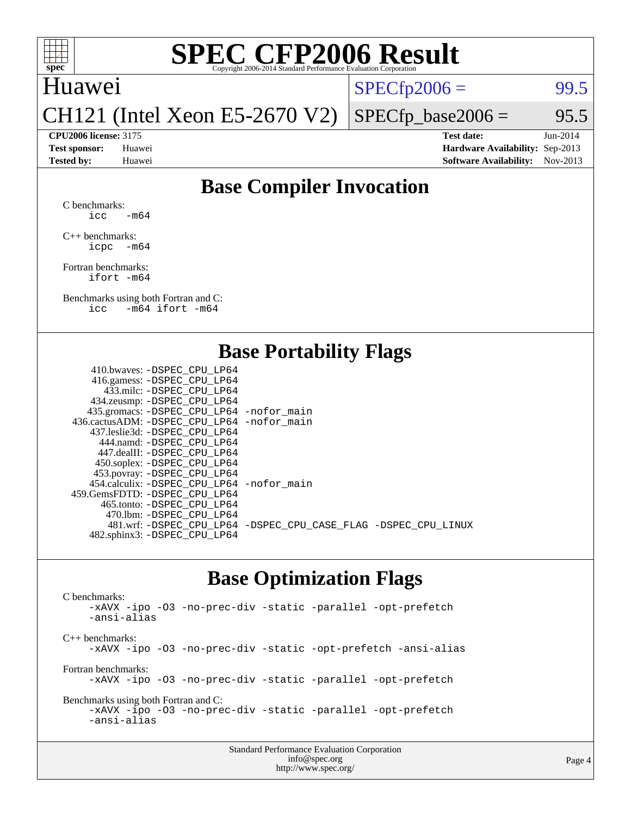

## Huawei

 $SPECTp2006 =$  99.5

CH121 (Intel Xeon E5-2670 V2)

 $SPECTp\_base2006 = 95.5$ 

**[CPU2006 license:](http://www.spec.org/auto/cpu2006/Docs/result-fields.html#CPU2006license)** 3175 **[Test date:](http://www.spec.org/auto/cpu2006/Docs/result-fields.html#Testdate)** Jun-2014 **[Test sponsor:](http://www.spec.org/auto/cpu2006/Docs/result-fields.html#Testsponsor)** Huawei **[Hardware Availability:](http://www.spec.org/auto/cpu2006/Docs/result-fields.html#HardwareAvailability)** Sep-2013 **[Tested by:](http://www.spec.org/auto/cpu2006/Docs/result-fields.html#Testedby)** Huawei **[Software Availability:](http://www.spec.org/auto/cpu2006/Docs/result-fields.html#SoftwareAvailability)** Nov-2013

## **[Base Compiler Invocation](http://www.spec.org/auto/cpu2006/Docs/result-fields.html#BaseCompilerInvocation)**

[C benchmarks](http://www.spec.org/auto/cpu2006/Docs/result-fields.html#Cbenchmarks):  $\text{icc}$  -m64

[C++ benchmarks:](http://www.spec.org/auto/cpu2006/Docs/result-fields.html#CXXbenchmarks) [icpc -m64](http://www.spec.org/cpu2006/results/res2014q3/cpu2006-20140626-30034.flags.html#user_CXXbase_intel_icpc_64bit_bedb90c1146cab66620883ef4f41a67e)

[Fortran benchmarks](http://www.spec.org/auto/cpu2006/Docs/result-fields.html#Fortranbenchmarks): [ifort -m64](http://www.spec.org/cpu2006/results/res2014q3/cpu2006-20140626-30034.flags.html#user_FCbase_intel_ifort_64bit_ee9d0fb25645d0210d97eb0527dcc06e)

[Benchmarks using both Fortran and C](http://www.spec.org/auto/cpu2006/Docs/result-fields.html#BenchmarksusingbothFortranandC): [icc -m64](http://www.spec.org/cpu2006/results/res2014q3/cpu2006-20140626-30034.flags.html#user_CC_FCbase_intel_icc_64bit_0b7121f5ab7cfabee23d88897260401c) [ifort -m64](http://www.spec.org/cpu2006/results/res2014q3/cpu2006-20140626-30034.flags.html#user_CC_FCbase_intel_ifort_64bit_ee9d0fb25645d0210d97eb0527dcc06e)

### **[Base Portability Flags](http://www.spec.org/auto/cpu2006/Docs/result-fields.html#BasePortabilityFlags)**

| 410.bwaves: -DSPEC CPU LP64                 |                                                                |
|---------------------------------------------|----------------------------------------------------------------|
| 416.gamess: - DSPEC_CPU_LP64                |                                                                |
| 433.milc: -DSPEC CPU LP64                   |                                                                |
| 434.zeusmp: -DSPEC_CPU_LP64                 |                                                                |
| 435.gromacs: -DSPEC_CPU_LP64 -nofor_main    |                                                                |
| 436.cactusADM: -DSPEC CPU LP64 -nofor main  |                                                                |
| 437.leslie3d: -DSPEC CPU LP64               |                                                                |
| 444.namd: -DSPEC CPU LP64                   |                                                                |
| 447.dealII: -DSPEC CPU LP64                 |                                                                |
| 450.soplex: -DSPEC_CPU_LP64                 |                                                                |
| 453.povray: -DSPEC_CPU_LP64                 |                                                                |
| 454.calculix: - DSPEC CPU LP64 - nofor main |                                                                |
| 459.GemsFDTD: -DSPEC CPU LP64               |                                                                |
| 465.tonto: - DSPEC CPU LP64                 |                                                                |
| 470.1bm: - DSPEC CPU LP64                   |                                                                |
|                                             | 481.wrf: -DSPEC_CPU_LP64 -DSPEC_CPU_CASE_FLAG -DSPEC_CPU_LINUX |
| 482.sphinx3: -DSPEC_CPU_LP64                |                                                                |
|                                             |                                                                |

### **[Base Optimization Flags](http://www.spec.org/auto/cpu2006/Docs/result-fields.html#BaseOptimizationFlags)**

[C benchmarks](http://www.spec.org/auto/cpu2006/Docs/result-fields.html#Cbenchmarks): [-xAVX](http://www.spec.org/cpu2006/results/res2014q3/cpu2006-20140626-30034.flags.html#user_CCbase_f-xAVX) [-ipo](http://www.spec.org/cpu2006/results/res2014q3/cpu2006-20140626-30034.flags.html#user_CCbase_f-ipo) [-O3](http://www.spec.org/cpu2006/results/res2014q3/cpu2006-20140626-30034.flags.html#user_CCbase_f-O3) [-no-prec-div](http://www.spec.org/cpu2006/results/res2014q3/cpu2006-20140626-30034.flags.html#user_CCbase_f-no-prec-div) [-static](http://www.spec.org/cpu2006/results/res2014q3/cpu2006-20140626-30034.flags.html#user_CCbase_f-static) [-parallel](http://www.spec.org/cpu2006/results/res2014q3/cpu2006-20140626-30034.flags.html#user_CCbase_f-parallel) [-opt-prefetch](http://www.spec.org/cpu2006/results/res2014q3/cpu2006-20140626-30034.flags.html#user_CCbase_f-opt-prefetch) [-ansi-alias](http://www.spec.org/cpu2006/results/res2014q3/cpu2006-20140626-30034.flags.html#user_CCbase_f-ansi-alias) [C++ benchmarks:](http://www.spec.org/auto/cpu2006/Docs/result-fields.html#CXXbenchmarks) [-xAVX](http://www.spec.org/cpu2006/results/res2014q3/cpu2006-20140626-30034.flags.html#user_CXXbase_f-xAVX) [-ipo](http://www.spec.org/cpu2006/results/res2014q3/cpu2006-20140626-30034.flags.html#user_CXXbase_f-ipo) [-O3](http://www.spec.org/cpu2006/results/res2014q3/cpu2006-20140626-30034.flags.html#user_CXXbase_f-O3) [-no-prec-div](http://www.spec.org/cpu2006/results/res2014q3/cpu2006-20140626-30034.flags.html#user_CXXbase_f-no-prec-div) [-static](http://www.spec.org/cpu2006/results/res2014q3/cpu2006-20140626-30034.flags.html#user_CXXbase_f-static) [-opt-prefetch](http://www.spec.org/cpu2006/results/res2014q3/cpu2006-20140626-30034.flags.html#user_CXXbase_f-opt-prefetch) [-ansi-alias](http://www.spec.org/cpu2006/results/res2014q3/cpu2006-20140626-30034.flags.html#user_CXXbase_f-ansi-alias) [Fortran benchmarks](http://www.spec.org/auto/cpu2006/Docs/result-fields.html#Fortranbenchmarks): [-xAVX](http://www.spec.org/cpu2006/results/res2014q3/cpu2006-20140626-30034.flags.html#user_FCbase_f-xAVX) [-ipo](http://www.spec.org/cpu2006/results/res2014q3/cpu2006-20140626-30034.flags.html#user_FCbase_f-ipo) [-O3](http://www.spec.org/cpu2006/results/res2014q3/cpu2006-20140626-30034.flags.html#user_FCbase_f-O3) [-no-prec-div](http://www.spec.org/cpu2006/results/res2014q3/cpu2006-20140626-30034.flags.html#user_FCbase_f-no-prec-div) [-static](http://www.spec.org/cpu2006/results/res2014q3/cpu2006-20140626-30034.flags.html#user_FCbase_f-static) [-parallel](http://www.spec.org/cpu2006/results/res2014q3/cpu2006-20140626-30034.flags.html#user_FCbase_f-parallel) [-opt-prefetch](http://www.spec.org/cpu2006/results/res2014q3/cpu2006-20140626-30034.flags.html#user_FCbase_f-opt-prefetch) [Benchmarks using both Fortran and C](http://www.spec.org/auto/cpu2006/Docs/result-fields.html#BenchmarksusingbothFortranandC): [-xAVX](http://www.spec.org/cpu2006/results/res2014q3/cpu2006-20140626-30034.flags.html#user_CC_FCbase_f-xAVX) [-ipo](http://www.spec.org/cpu2006/results/res2014q3/cpu2006-20140626-30034.flags.html#user_CC_FCbase_f-ipo) [-O3](http://www.spec.org/cpu2006/results/res2014q3/cpu2006-20140626-30034.flags.html#user_CC_FCbase_f-O3) [-no-prec-div](http://www.spec.org/cpu2006/results/res2014q3/cpu2006-20140626-30034.flags.html#user_CC_FCbase_f-no-prec-div) [-static](http://www.spec.org/cpu2006/results/res2014q3/cpu2006-20140626-30034.flags.html#user_CC_FCbase_f-static) [-parallel](http://www.spec.org/cpu2006/results/res2014q3/cpu2006-20140626-30034.flags.html#user_CC_FCbase_f-parallel) [-opt-prefetch](http://www.spec.org/cpu2006/results/res2014q3/cpu2006-20140626-30034.flags.html#user_CC_FCbase_f-opt-prefetch) [-ansi-alias](http://www.spec.org/cpu2006/results/res2014q3/cpu2006-20140626-30034.flags.html#user_CC_FCbase_f-ansi-alias)

| <b>Standard Performance Evaluation Corporation</b> |
|----------------------------------------------------|
| info@spec.org                                      |
| http://www.spec.org/                               |

#### Page 4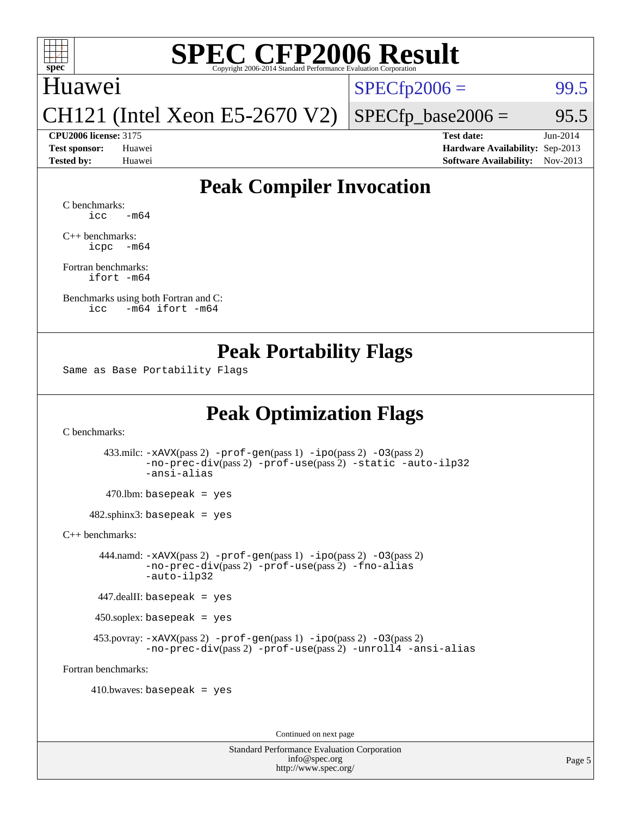

## Huawei

 $SPECTp2006 = 99.5$ 

CH121 (Intel Xeon E5-2670 V2)

**[CPU2006 license:](http://www.spec.org/auto/cpu2006/Docs/result-fields.html#CPU2006license)** 3175 **[Test date:](http://www.spec.org/auto/cpu2006/Docs/result-fields.html#Testdate)** Jun-2014

 $SPECTp\_base2006 = 95.5$ 

**[Test sponsor:](http://www.spec.org/auto/cpu2006/Docs/result-fields.html#Testsponsor)** Huawei **[Hardware Availability:](http://www.spec.org/auto/cpu2006/Docs/result-fields.html#HardwareAvailability)** Sep-2013 **[Tested by:](http://www.spec.org/auto/cpu2006/Docs/result-fields.html#Testedby)** Huawei **[Software Availability:](http://www.spec.org/auto/cpu2006/Docs/result-fields.html#SoftwareAvailability)** Nov-2013

## **[Peak Compiler Invocation](http://www.spec.org/auto/cpu2006/Docs/result-fields.html#PeakCompilerInvocation)**

[C benchmarks](http://www.spec.org/auto/cpu2006/Docs/result-fields.html#Cbenchmarks):  $\text{icc}$   $-\text{m64}$ 

[C++ benchmarks:](http://www.spec.org/auto/cpu2006/Docs/result-fields.html#CXXbenchmarks) [icpc -m64](http://www.spec.org/cpu2006/results/res2014q3/cpu2006-20140626-30034.flags.html#user_CXXpeak_intel_icpc_64bit_bedb90c1146cab66620883ef4f41a67e)

[Fortran benchmarks](http://www.spec.org/auto/cpu2006/Docs/result-fields.html#Fortranbenchmarks): [ifort -m64](http://www.spec.org/cpu2006/results/res2014q3/cpu2006-20140626-30034.flags.html#user_FCpeak_intel_ifort_64bit_ee9d0fb25645d0210d97eb0527dcc06e)

[Benchmarks using both Fortran and C](http://www.spec.org/auto/cpu2006/Docs/result-fields.html#BenchmarksusingbothFortranandC): [icc -m64](http://www.spec.org/cpu2006/results/res2014q3/cpu2006-20140626-30034.flags.html#user_CC_FCpeak_intel_icc_64bit_0b7121f5ab7cfabee23d88897260401c) [ifort -m64](http://www.spec.org/cpu2006/results/res2014q3/cpu2006-20140626-30034.flags.html#user_CC_FCpeak_intel_ifort_64bit_ee9d0fb25645d0210d97eb0527dcc06e)

### **[Peak Portability Flags](http://www.spec.org/auto/cpu2006/Docs/result-fields.html#PeakPortabilityFlags)**

Same as Base Portability Flags

## **[Peak Optimization Flags](http://www.spec.org/auto/cpu2006/Docs/result-fields.html#PeakOptimizationFlags)**

[C benchmarks](http://www.spec.org/auto/cpu2006/Docs/result-fields.html#Cbenchmarks):

 433.milc: [-xAVX](http://www.spec.org/cpu2006/results/res2014q3/cpu2006-20140626-30034.flags.html#user_peakPASS2_CFLAGSPASS2_LDFLAGS433_milc_f-xAVX)(pass 2) [-prof-gen](http://www.spec.org/cpu2006/results/res2014q3/cpu2006-20140626-30034.flags.html#user_peakPASS1_CFLAGSPASS1_LDFLAGS433_milc_prof_gen_e43856698f6ca7b7e442dfd80e94a8fc)(pass 1) [-ipo](http://www.spec.org/cpu2006/results/res2014q3/cpu2006-20140626-30034.flags.html#user_peakPASS2_CFLAGSPASS2_LDFLAGS433_milc_f-ipo)(pass 2) [-O3](http://www.spec.org/cpu2006/results/res2014q3/cpu2006-20140626-30034.flags.html#user_peakPASS2_CFLAGSPASS2_LDFLAGS433_milc_f-O3)(pass 2) [-no-prec-div](http://www.spec.org/cpu2006/results/res2014q3/cpu2006-20140626-30034.flags.html#user_peakPASS2_CFLAGSPASS2_LDFLAGS433_milc_f-no-prec-div)(pass 2) [-prof-use](http://www.spec.org/cpu2006/results/res2014q3/cpu2006-20140626-30034.flags.html#user_peakPASS2_CFLAGSPASS2_LDFLAGS433_milc_prof_use_bccf7792157ff70d64e32fe3e1250b55)(pass 2) [-static](http://www.spec.org/cpu2006/results/res2014q3/cpu2006-20140626-30034.flags.html#user_peakOPTIMIZE433_milc_f-static) [-auto-ilp32](http://www.spec.org/cpu2006/results/res2014q3/cpu2006-20140626-30034.flags.html#user_peakCOPTIMIZE433_milc_f-auto-ilp32) [-ansi-alias](http://www.spec.org/cpu2006/results/res2014q3/cpu2006-20140626-30034.flags.html#user_peakCOPTIMIZE433_milc_f-ansi-alias)

 $470.$ lbm: basepeak = yes

482.sphinx3: basepeak = yes

[C++ benchmarks:](http://www.spec.org/auto/cpu2006/Docs/result-fields.html#CXXbenchmarks)

 444.namd: [-xAVX](http://www.spec.org/cpu2006/results/res2014q3/cpu2006-20140626-30034.flags.html#user_peakPASS2_CXXFLAGSPASS2_LDFLAGS444_namd_f-xAVX)(pass 2) [-prof-gen](http://www.spec.org/cpu2006/results/res2014q3/cpu2006-20140626-30034.flags.html#user_peakPASS1_CXXFLAGSPASS1_LDFLAGS444_namd_prof_gen_e43856698f6ca7b7e442dfd80e94a8fc)(pass 1) [-ipo](http://www.spec.org/cpu2006/results/res2014q3/cpu2006-20140626-30034.flags.html#user_peakPASS2_CXXFLAGSPASS2_LDFLAGS444_namd_f-ipo)(pass 2) [-O3](http://www.spec.org/cpu2006/results/res2014q3/cpu2006-20140626-30034.flags.html#user_peakPASS2_CXXFLAGSPASS2_LDFLAGS444_namd_f-O3)(pass 2) [-no-prec-div](http://www.spec.org/cpu2006/results/res2014q3/cpu2006-20140626-30034.flags.html#user_peakPASS2_CXXFLAGSPASS2_LDFLAGS444_namd_f-no-prec-div)(pass 2) [-prof-use](http://www.spec.org/cpu2006/results/res2014q3/cpu2006-20140626-30034.flags.html#user_peakPASS2_CXXFLAGSPASS2_LDFLAGS444_namd_prof_use_bccf7792157ff70d64e32fe3e1250b55)(pass 2) [-fno-alias](http://www.spec.org/cpu2006/results/res2014q3/cpu2006-20140626-30034.flags.html#user_peakCXXOPTIMIZEOPTIMIZE444_namd_f-no-alias_694e77f6c5a51e658e82ccff53a9e63a) [-auto-ilp32](http://www.spec.org/cpu2006/results/res2014q3/cpu2006-20140626-30034.flags.html#user_peakCXXOPTIMIZE444_namd_f-auto-ilp32)

447.dealII: basepeak = yes

450.soplex: basepeak = yes

453.povray:  $-xAVX(pass 2)$  $-xAVX(pass 2)$  [-prof-gen](http://www.spec.org/cpu2006/results/res2014q3/cpu2006-20140626-30034.flags.html#user_peakPASS1_CXXFLAGSPASS1_LDFLAGS453_povray_prof_gen_e43856698f6ca7b7e442dfd80e94a8fc)(pass 1) [-ipo](http://www.spec.org/cpu2006/results/res2014q3/cpu2006-20140626-30034.flags.html#user_peakPASS2_CXXFLAGSPASS2_LDFLAGS453_povray_f-ipo)(pass 2) -03(pass 2) [-no-prec-div](http://www.spec.org/cpu2006/results/res2014q3/cpu2006-20140626-30034.flags.html#user_peakPASS2_CXXFLAGSPASS2_LDFLAGS453_povray_f-no-prec-div)(pass 2) [-prof-use](http://www.spec.org/cpu2006/results/res2014q3/cpu2006-20140626-30034.flags.html#user_peakPASS2_CXXFLAGSPASS2_LDFLAGS453_povray_prof_use_bccf7792157ff70d64e32fe3e1250b55)(pass 2) [-unroll4](http://www.spec.org/cpu2006/results/res2014q3/cpu2006-20140626-30034.flags.html#user_peakCXXOPTIMIZE453_povray_f-unroll_4e5e4ed65b7fd20bdcd365bec371b81f) [-ansi-alias](http://www.spec.org/cpu2006/results/res2014q3/cpu2006-20140626-30034.flags.html#user_peakCXXOPTIMIZE453_povray_f-ansi-alias)

[Fortran benchmarks](http://www.spec.org/auto/cpu2006/Docs/result-fields.html#Fortranbenchmarks):

 $410.bwaves: basepeak = yes$ 

Continued on next page

Standard Performance Evaluation Corporation [info@spec.org](mailto:info@spec.org) <http://www.spec.org/>